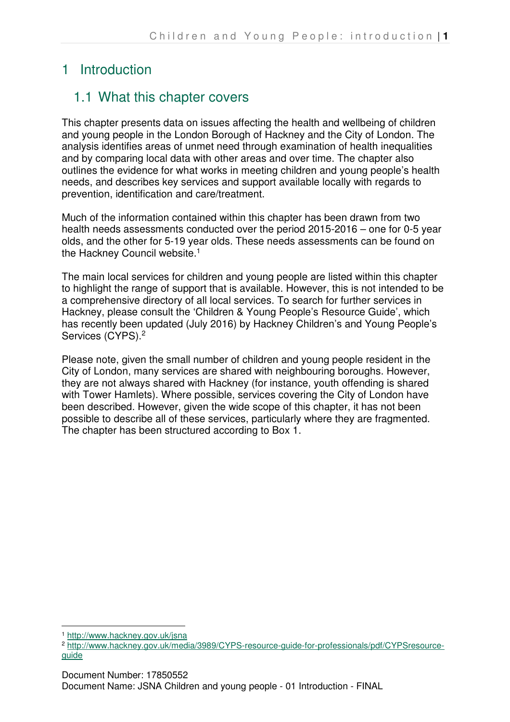# 1 Introduction

# 1.1 What this chapter covers

This chapter presents data on issues affecting the health and wellbeing of children and young people in the London Borough of Hackney and the City of London. The analysis identifies areas of unmet need through examination of health inequalities and by comparing local data with other areas and over time. The chapter also outlines the evidence for what works in meeting children and young people's health needs, and describes key services and support available locally with regards to prevention, identification and care/treatment.

Much of the information contained within this chapter has been drawn from two health needs assessments conducted over the period 2015-2016 – one for 0-5 year olds, and the other for 5-19 year olds. These needs assessments can be found on the Hackney Council website.<sup>1</sup>

The main local services for children and young people are listed within this chapter to highlight the range of support that is available. However, this is not intended to be a comprehensive directory of all local services. To search for further services in Hackney, please consult the 'Children & Young People's Resource Guide', which has recently been updated (July 2016) by Hackney Children's and Young People's Services (CYPS).<sup>2</sup>

Please note, given the small number of children and young people resident in the City of London, many services are shared with neighbouring boroughs. However, they are not always shared with Hackney (for instance, youth offending is shared with Tower Hamlets). Where possible, services covering the City of London have been described. However, given the wide scope of this chapter, it has not been possible to describe all of these services, particularly where they are fragmented. The chapter has been structured according to Box 1.

 $\overline{a}$ <sup>1</sup> http://www.hackney.gov.uk/jsna

<sup>2</sup> http://www.hackney.gov.uk/media/3989/CYPS-resource-guide-for-professionals/pdf/CYPSresourceguide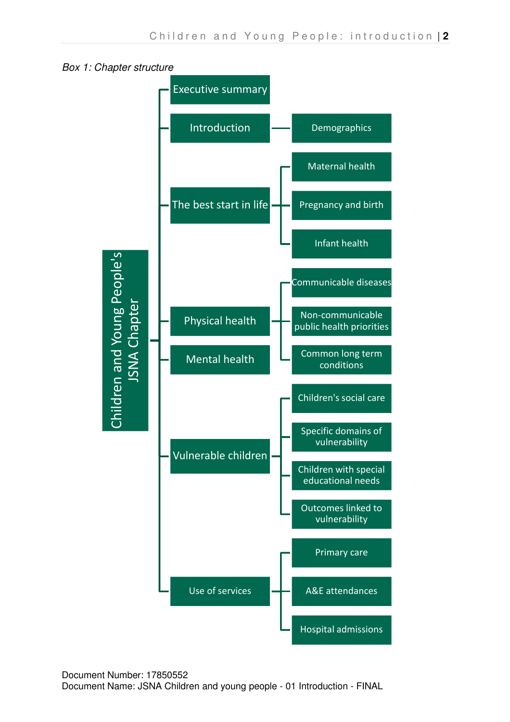

Box 1: Chapter structure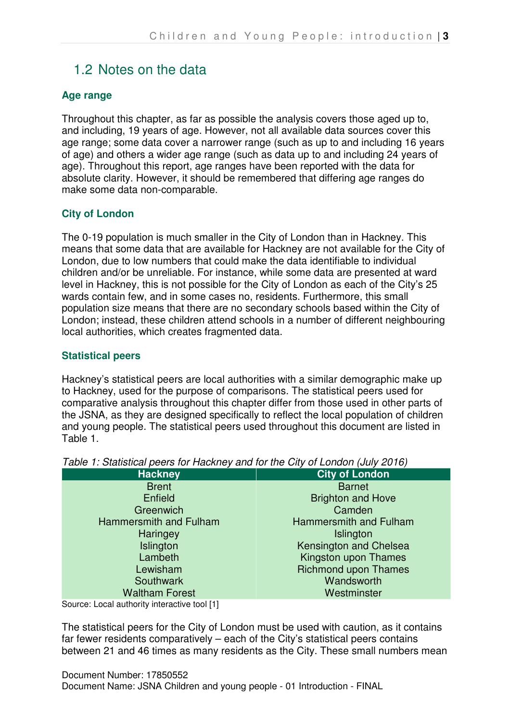## 1.2 Notes on the data

### **Age range**

Throughout this chapter, as far as possible the analysis covers those aged up to, and including, 19 years of age. However, not all available data sources cover this age range; some data cover a narrower range (such as up to and including 16 years of age) and others a wider age range (such as data up to and including 24 years of age). Throughout this report, age ranges have been reported with the data for absolute clarity. However, it should be remembered that differing age ranges do make some data non-comparable.

### **City of London**

The 0-19 population is much smaller in the City of London than in Hackney. This means that some data that are available for Hackney are not available for the City of London, due to low numbers that could make the data identifiable to individual children and/or be unreliable. For instance, while some data are presented at ward level in Hackney, this is not possible for the City of London as each of the City's 25 wards contain few, and in some cases no, residents. Furthermore, this small population size means that there are no secondary schools based within the City of London; instead, these children attend schools in a number of different neighbouring local authorities, which creates fragmented data.

### **Statistical peers**

Hackney's statistical peers are local authorities with a similar demographic make up to Hackney, used for the purpose of comparisons. The statistical peers used for comparative analysis throughout this chapter differ from those used in other parts of the JSNA, as they are designed specifically to reflect the local population of children and young people. The statistical peers used throughout this document are listed in Table 1.

| <b>Hackney</b>         | <b>City of London</b>         |
|------------------------|-------------------------------|
| <b>Brent</b>           | <b>Barnet</b>                 |
| Enfield                | <b>Brighton and Hove</b>      |
| Greenwich              | Camden                        |
| Hammersmith and Fulham | <b>Hammersmith and Fulham</b> |
| Haringey               | Islington                     |
| Islington              | Kensington and Chelsea        |
| Lambeth                | Kingston upon Thames          |
| Lewisham               | <b>Richmond upon Thames</b>   |
| Southwark              | Wandsworth                    |
| <b>Waltham Forest</b>  | Westminster                   |

Table 1: Statistical peers for Hackney and for the City of London (July 2016)

Source: Local authority interactive tool [1]

The statistical peers for the City of London must be used with caution, as it contains far fewer residents comparatively – each of the City's statistical peers contains between 21 and 46 times as many residents as the City. These small numbers mean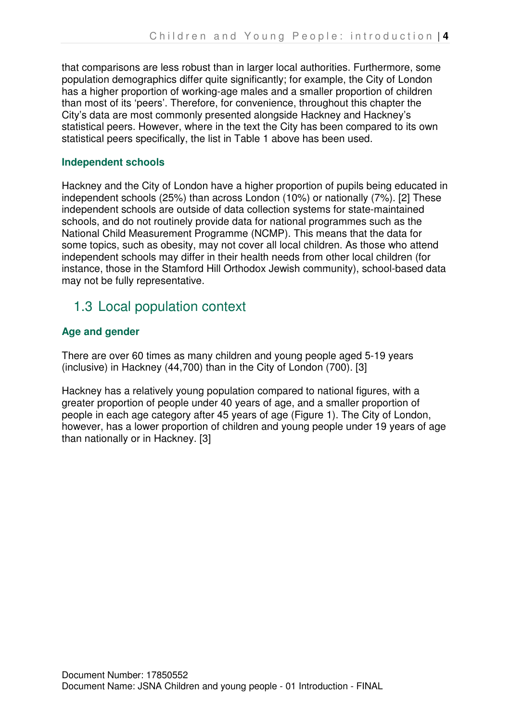that comparisons are less robust than in larger local authorities. Furthermore, some population demographics differ quite significantly; for example, the City of London has a higher proportion of working-age males and a smaller proportion of children than most of its 'peers'. Therefore, for convenience, throughout this chapter the City's data are most commonly presented alongside Hackney and Hackney's statistical peers. However, where in the text the City has been compared to its own statistical peers specifically, the list in Table 1 above has been used.

#### **Independent schools**

Hackney and the City of London have a higher proportion of pupils being educated in independent schools (25%) than across London (10%) or nationally (7%). [2] These independent schools are outside of data collection systems for state-maintained schools, and do not routinely provide data for national programmes such as the National Child Measurement Programme (NCMP). This means that the data for some topics, such as obesity, may not cover all local children. As those who attend independent schools may differ in their health needs from other local children (for instance, those in the Stamford Hill Orthodox Jewish community), school-based data may not be fully representative.

## 1.3 Local population context

### **Age and gender**

There are over 60 times as many children and young people aged 5-19 years (inclusive) in Hackney (44,700) than in the City of London (700). [3]

Hackney has a relatively young population compared to national figures, with a greater proportion of people under 40 years of age, and a smaller proportion of people in each age category after 45 years of age (Figure 1). The City of London, however, has a lower proportion of children and young people under 19 years of age than nationally or in Hackney. [3]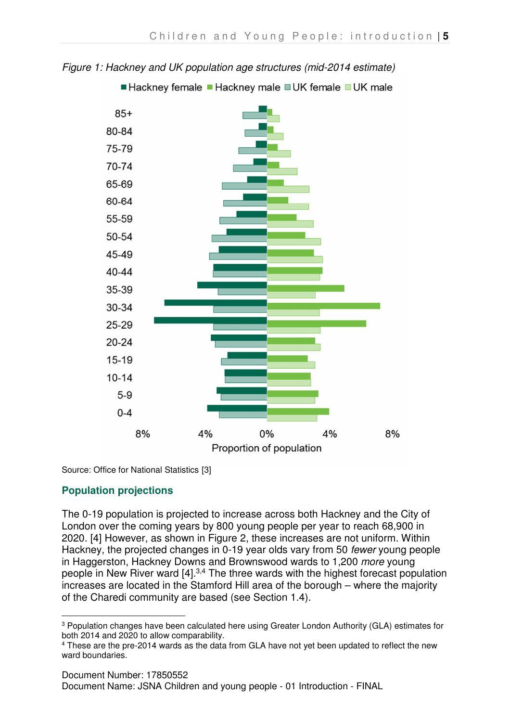

Figure 1: Hackney and UK population age structures (mid-2014 estimate)

■ Hackney female ■ Hackney male ■ UK female ■ UK male

Source: Office for National Statistics [3]

## **Population projections**

The 0-19 population is projected to increase across both Hackney and the City of London over the coming years by 800 young people per year to reach 68,900 in 2020. [4] However, as shown in Figure 2, these increases are not uniform. Within Hackney, the projected changes in 0-19 year olds vary from 50 fewer young people in Haggerston, Hackney Downs and Brownswood wards to 1,200 more young people in New River ward [4].<sup>3,4</sup> The three wards with the highest forecast population increases are located in the Stamford Hill area of the borough – where the majority of the Charedi community are based (see Section 1.4).

 $\overline{a}$ <sup>3</sup> Population changes have been calculated here using Greater London Authority (GLA) estimates for both 2014 and 2020 to allow comparability.

<sup>4</sup> These are the pre-2014 wards as the data from GLA have not yet been updated to reflect the new ward boundaries.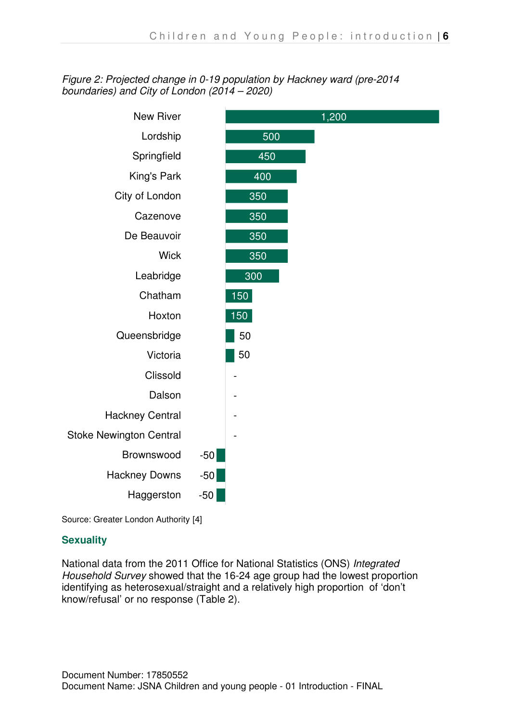### Figure 2: Projected change in 0-19 population by Hackney ward (pre-2014 boundaries) and City of London (2014 – 2020)



Source: Greater London Authority [4]

### **Sexuality**

National data from the 2011 Office for National Statistics (ONS) Integrated Household Survey showed that the 16-24 age group had the lowest proportion identifying as heterosexual/straight and a relatively high proportion of 'don't know/refusal' or no response (Table 2).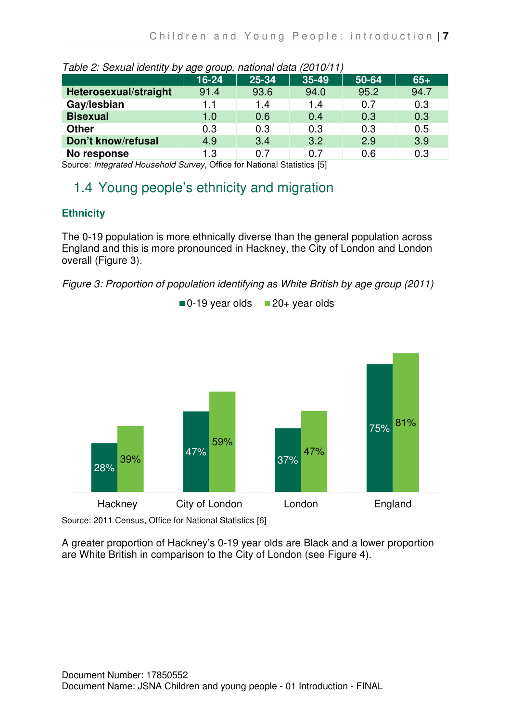| rable 2. Oexuariuentity by age group, halloniai dala (2010/11) |       |       |       |       |       |
|----------------------------------------------------------------|-------|-------|-------|-------|-------|
|                                                                | 16-24 | 25-34 | 35-49 | 50-64 | $65+$ |
| Heterosexual/straight                                          | 91.4  | 93.6  | 94.0  | 95.2  | 94.7  |
| Gay/lesbian                                                    | 1.1   | 1.4   | 1.4   | 0.7   | 0.3   |
| <b>Bisexual</b>                                                | 1.0   | 0.6   | 0.4   | 0.3   | 0.3   |
| <b>Other</b>                                                   | 0.3   | 0.3   | 0.3   | 0.3   | 0.5   |
| Don't know/refusal                                             | 4.9   | 3.4   | 3.2   | 2.9   | 3.9   |
| No response                                                    | 1.3   | 0 7   | 0 7   | 0.6   | 0.3   |

| Table 2: Sexual identity by age group, national data (2010/11) |  |
|----------------------------------------------------------------|--|
|                                                                |  |

Source: Integrated Household Survey, Office for National Statistics [5]

# 1.4 Young people's ethnicity and migration

## **Ethnicity**

The 0-19 population is more ethnically diverse than the general population across England and this is more pronounced in Hackney, the City of London and London overall (Figure 3).

Figure 3: Proportion of population identifying as White British by age group (2011)



 $\blacksquare$  0-19 year olds  $\blacksquare$  20+ year olds

Source: 2011 Census, Office for National Statistics [6]

A greater proportion of Hackney's 0-19 year olds are Black and a lower proportion are White British in comparison to the City of London (see Figure 4).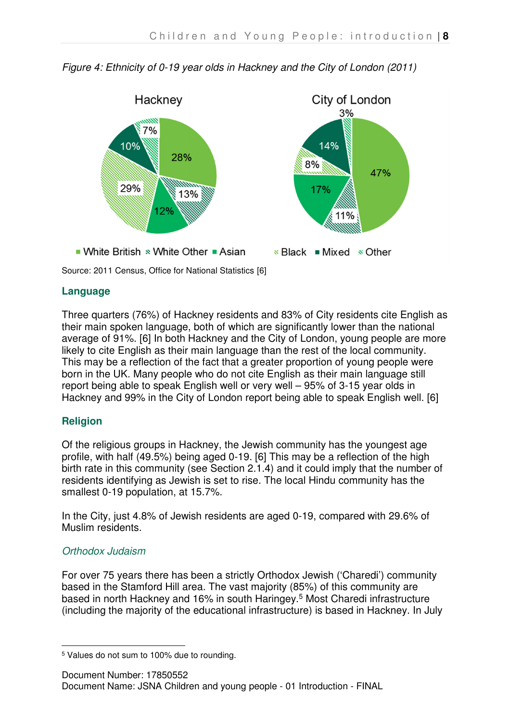

Figure 4: Ethnicity of 0-19 year olds in Hackney and the City of London (2011)

Source: 2011 Census, Office for National Statistics [6]

### **Language**

Three quarters (76%) of Hackney residents and 83% of City residents cite English as their main spoken language, both of which are significantly lower than the national average of 91%. [6] In both Hackney and the City of London, young people are more likely to cite English as their main language than the rest of the local community. This may be a reflection of the fact that a greater proportion of young people were born in the UK. Many people who do not cite English as their main language still report being able to speak English well or very well – 95% of 3-15 year olds in Hackney and 99% in the City of London report being able to speak English well. [6]

### **Religion**

Of the religious groups in Hackney, the Jewish community has the youngest age profile, with half (49.5%) being aged 0-19. [6] This may be a reflection of the high birth rate in this community (see Section 2.1.4) and it could imply that the number of residents identifying as Jewish is set to rise. The local Hindu community has the smallest 0-19 population, at 15.7%.

In the City, just 4.8% of Jewish residents are aged 0-19, compared with 29.6% of Muslim residents.

### Orthodox Judaism

For over 75 years there has been a strictly Orthodox Jewish ('Charedi') community based in the Stamford Hill area. The vast majority (85%) of this community are based in north Hackney and 16% in south Haringey.<sup>5</sup> Most Charedi infrastructure (including the majority of the educational infrastructure) is based in Hackney. In July

 $\overline{a}$ 5 Values do not sum to 100% due to rounding.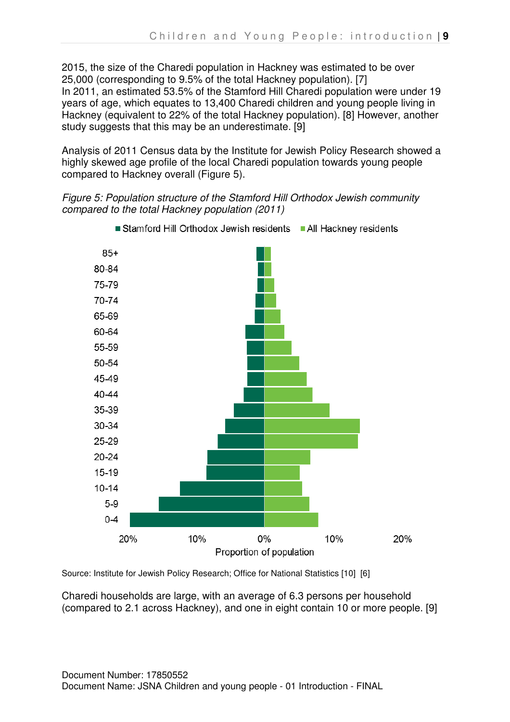2015, the size of the Charedi population in Hackney was estimated to be over 25,000 (corresponding to 9.5% of the total Hackney population). [7] In 2011, an estimated 53.5% of the Stamford Hill Charedi population were under 19 years of age, which equates to 13,400 Charedi children and young people living in Hackney (equivalent to 22% of the total Hackney population). [8] However, another study suggests that this may be an underestimate. [9]

Analysis of 2011 Census data by the Institute for Jewish Policy Research showed a highly skewed age profile of the local Charedi population towards young people compared to Hackney overall (Figure 5).

Figure 5: Population structure of the Stamford Hill Orthodox Jewish community compared to the total Hackney population (2011)



Stamford Hill Orthodox Jewish residents All Hackney residents

Source: Institute for Jewish Policy Research; Office for National Statistics [10] [6]

Charedi households are large, with an average of 6.3 persons per household (compared to 2.1 across Hackney), and one in eight contain 10 or more people. [9]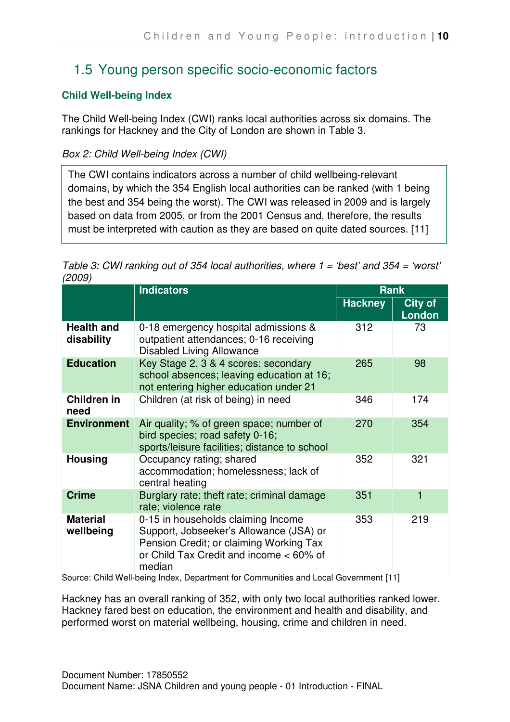# 1.5 Young person specific socio-economic factors

## **Child Well-being Index**

The Child Well-being Index (CWI) ranks local authorities across six domains. The rankings for Hackney and the City of London are shown in Table 3.

### Box 2: Child Well-being Index (CWI)

The CWI contains indicators across a number of child wellbeing-relevant domains, by which the 354 English local authorities can be ranked (with 1 being the best and 354 being the worst). The CWI was released in 2009 and is largely based on data from 2005, or from the 2001 Census and, therefore, the results must be interpreted with caution as they are based on quite dated sources. [11]

| Table 3: CWI ranking out of 354 local authorities, where $1 = 'best'$ and 354 = 'worst' |  |
|-----------------------------------------------------------------------------------------|--|
| (2009)                                                                                  |  |

| <b>Indicators</b>               |                                                                                                                                                                               | <b>Rank</b>    |                                 |
|---------------------------------|-------------------------------------------------------------------------------------------------------------------------------------------------------------------------------|----------------|---------------------------------|
|                                 |                                                                                                                                                                               | <b>Hackney</b> | <b>City of</b><br><b>London</b> |
| <b>Health and</b><br>disability | 0-18 emergency hospital admissions &<br>outpatient attendances; 0-16 receiving<br><b>Disabled Living Allowance</b>                                                            | 312            | 73                              |
| <b>Education</b>                | Key Stage 2, 3 & 4 scores; secondary<br>school absences; leaving education at 16;<br>not entering higher education under 21                                                   | 265            | 98                              |
| Children in<br>need             | Children (at risk of being) in need                                                                                                                                           | 346            | 174                             |
| <b>Environment</b>              | Air quality; % of green space; number of<br>bird species; road safety 0-16;<br>sports/leisure facilities; distance to school                                                  | 270            | 354                             |
| <b>Housing</b>                  | Occupancy rating; shared<br>accommodation; homelessness; lack of<br>central heating                                                                                           | 352            | 321                             |
| <b>Crime</b>                    | Burglary rate; theft rate; criminal damage<br>rate; violence rate                                                                                                             | 351            | 1                               |
| <b>Material</b><br>wellbeing    | 0-15 in households claiming Income<br>Support, Jobseeker's Allowance (JSA) or<br>Pension Credit; or claiming Working Tax<br>or Child Tax Credit and income < 60% of<br>median | 353            | 219                             |

Source: Child Well-being Index, Department for Communities and Local Government [11]

Hackney has an overall ranking of 352, with only two local authorities ranked lower. Hackney fared best on education, the environment and health and disability, and performed worst on material wellbeing, housing, crime and children in need.